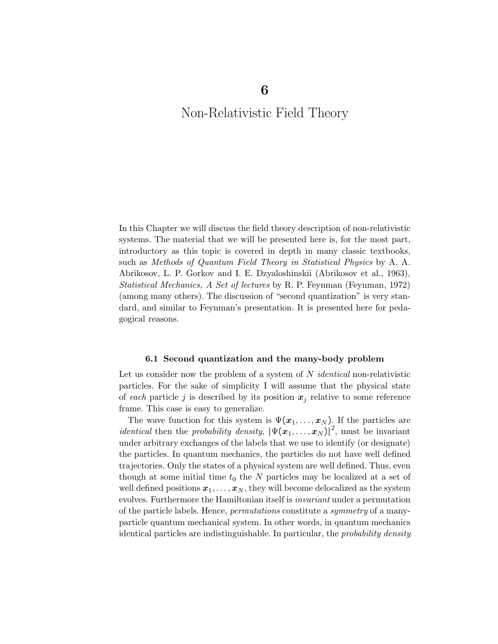# Non-Relativistic Field Theory

In this Chapter we will discuss the field theory description of non-relativistic systems. The material that we will be presented here is, for the most part, introductory as this topic is covered in depth in many classic textbooks, such as Methods of Quantum Field Theory in Statistical Physics by A. A. Abrikosov, L. P. Gorkov and I. E. Dzyaloshinskii (Abrikosov et al., 1963), Statistical Mechanics, A Set of lectures by R. P. Feynman (Feynman, 1972) (among many others). The discussion of "second quantization" is very standard, and similar to Feynman's presentation. It is presented here for pedagogical reasons.

#### 6.1 Second quantization and the many-body problem

Let us consider now the problem of a system of  $N$  *identical* non-relativistic particles. For the sake of simplicity I will assume that the physical state of each particle j is described by its position  $x_j$  relative to some reference frame. This case is easy to generalize.

The wave function for this system is  $\Psi(\boldsymbol{x}_1,\ldots,\boldsymbol{x}_N)$ . If the particles are *identical* then the *probability density*,  $|\Psi(\mathbf{x}_1,\ldots,\mathbf{x}_N)|^2$ , must be invariant under arbitrary exchanges of the labels that we use to identify (or designate) the particles. In quantum mechanics, the particles do not have well defined trajectories. Only the states of a physical system are well defined. Thus, even though at some initial time  $t_0$  the N particles may be localized at a set of well defined positions  $x_1, \ldots, x_N$ , they will become delocalized as the system evolves. Furthermore the Hamiltonian itself is invariant under a permutation of the particle labels. Hence, permutations constitute a symmetry of a manyparticle quantum mechanical system. In other words, in quantum mechanics identical particles are indistinguishable. In particular, the probability density

6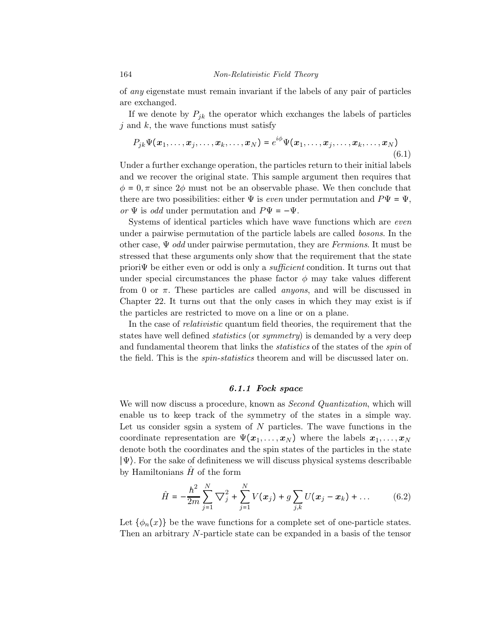of any eigenstate must remain invariant if the labels of any pair of particles are exchanged.

If we denote by  $P_{ik}$  the operator which exchanges the labels of particles  $j$  and  $k$ , the wave functions must satisfy

$$
P_{jk}\Psi(\boldsymbol{x}_1,\ldots,\boldsymbol{x}_j,\ldots,\boldsymbol{x}_k,\ldots,\boldsymbol{x}_N)=e^{i\phi}\Psi(\boldsymbol{x}_1,\ldots,\boldsymbol{x}_j,\ldots,\boldsymbol{x}_k,\ldots,\boldsymbol{x}_N)
$$
\n(6.1)

Under a further exchange operation, the particles return to their initial labels and we recover the original state. This sample argument then requires that  $\phi = 0, \pi$  since  $2\phi$  must not be an observable phase. We then conclude that there are two possibilities: either  $\Psi$  is *even* under permutation and  $P\Psi = \Psi$ , or  $\Psi$  is odd under permutation and  $P\Psi = -\Psi$ .

Systems of identical particles which have wave functions which are even under a pairwise permutation of the particle labels are called bosons. In the other case,  $\Psi$  odd under pairwise permutation, they are Fermions. It must be stressed that these arguments only show that the requirement that the state priori $\Psi$  be either even or odd is only a *sufficient* condition. It turns out that under special circumstances the phase factor  $\phi$  may take values different from 0 or  $\pi$ . These particles are called *anyons*, and will be discussed in Chapter 22. It turns out that the only cases in which they may exist is if the particles are restricted to move on a line or on a plane.

In the case of *relativistic* quantum field theories, the requirement that the states have well defined *statistics* (or *symmetry*) is demanded by a very deep and fundamental theorem that links the *statistics* of the states of the *spin* of the field. This is the *spin-statistics* theorem and will be discussed later on.

#### 6.1.1 Fock space

We will now discuss a procedure, known as *Second Quantization*, which will enable us to keep track of the symmetry of the states in a simple way. Let us consider sgsin a system of N particles. The wave functions in the coordinate representation are  $\Psi(\boldsymbol{x}_1,\ldots,\boldsymbol{x}_N)$  where the labels  $\boldsymbol{x}_1,\ldots,\boldsymbol{x}_N$ denote both the coordinates and the spin states of the particles in the state ∣Ψ⟩. For the sake of definiteness we will discuss physical systems describable by Hamiltonians  $H$  of the form

$$
\hat{H} = -\frac{\hbar^2}{2m} \sum_{j=1}^{N} \nabla_j^2 + \sum_{j=1}^{N} V(x_j) + g \sum_{j,k} U(x_j - x_k) + \dots \qquad (6.2)
$$

Let  $\{\phi_n(x)\}\$ be the wave functions for a complete set of one-particle states. Then an arbitrary N-particle state can be expanded in a basis of the tensor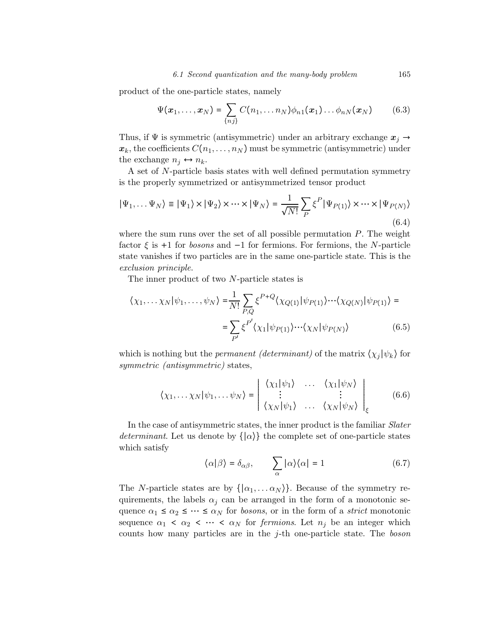product of the one-particle states, namely

$$
\Psi(\boldsymbol{x}_1,\ldots,\boldsymbol{x}_N)=\sum_{\{n\}} C(n_1,\ldots n_N)\phi_{n1}(\boldsymbol{x}_1)\ldots\phi_{nN}(\boldsymbol{x}_N) \qquad (6.3)
$$

Thus, if  $\Psi$  is symmetric (antisymmetric) under an arbitrary exchange  $x_j \rightarrow$  $\mathbf{x}_k$ , the coefficients  $C(n_1,\ldots,n_N)$  must be symmetric (antisymmetric) under the exchange  $n_i \leftrightarrow n_k$ .

A set of N-particle basis states with well defined permutation symmetry is the properly symmetrized or antisymmetrized tensor product

$$
|\Psi_1, \dots \Psi_N\rangle \equiv |\Psi_1\rangle \times |\Psi_2\rangle \times \dots \times |\Psi_N\rangle = \frac{1}{\sqrt{N!}} \sum_P \xi^P |\Psi_{P(1)}\rangle \times \dots \times |\Psi_{P(N)}\rangle
$$
\n(6.4)

where the sum runs over the set of all possible permutation  $P$ . The weight factor  $\xi$  is +1 for *bosons* and  $-1$  for fermions. For fermions, the N-particle state vanishes if two particles are in the same one-particle state. This is the exclusion principle.

The inner product of two N-particle states is

$$
\langle \chi_1, \dots \chi_N | \psi_1, \dots, \psi_N \rangle = \frac{1}{N!} \sum_{P,Q} \xi^{P+Q} \langle \chi_{Q(1)} | \psi_{P(1)} \rangle \cdots \langle \chi_{Q(N)} | \psi_{P(1)} \rangle =
$$

$$
= \sum_{P'} \xi^{P'} \langle \chi_1 | \psi_{P(1)} \rangle \cdots \langle \chi_N | \psi_{P(N)} \rangle \tag{6.5}
$$

which is nothing but the *permanent (determinant)* of the matrix  $\langle \chi_i | \psi_k \rangle$  for symmetric *(antisymmetric)* states,

$$
\langle \chi_1, \dots \chi_N | \psi_1, \dots \psi_N \rangle = \begin{vmatrix} \langle \chi_1 | \psi_1 \rangle & \dots & \langle \chi_1 | \psi_N \rangle \\ \vdots & & \vdots \\ \langle \chi_N | \psi_1 \rangle & \dots & \langle \chi_N | \psi_N \rangle \end{vmatrix}_{\xi}
$$
(6.6)

In the case of antisymmetric states, the inner product is the familiar Slater *determinant*. Let us denote by  $\{|\alpha\rangle\}$  the complete set of one-particle states which satisfy

$$
\langle \alpha | \beta \rangle = \delta_{\alpha\beta}, \qquad \sum_{\alpha} | \alpha \rangle \langle \alpha | = 1 \tag{6.7}
$$

The N-particle states are by  $\{|\alpha_1,\ldots \alpha_N\rangle\}$ . Because of the symmetry requirements, the labels  $\alpha_j$  can be arranged in the form of a monotonic sequence  $\alpha_1 \leq \alpha_2 \leq \cdots \leq \alpha_N$  for *bosons*, or in the form of a *strict* monotonic sequence  $\alpha_1 \leq \alpha_2 \leq \cdots \leq \alpha_N$  for *fermions*. Let  $n_j$  be an integer which counts how many particles are in the j-th one-particle state. The boson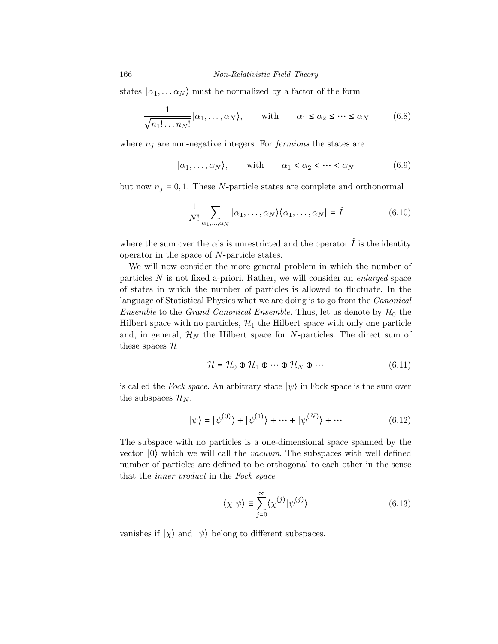states  $|\alpha_1, \ldots \alpha_N\rangle$  must be normalized by a factor of the form

$$
\frac{1}{\sqrt{n_1! \dots n_N!}} \Big| \alpha_1, \dots, \alpha_N \Big\rangle, \quad \text{with} \quad \alpha_1 \le \alpha_2 \le \dots \le \alpha_N \tag{6.8}
$$

where  $n_j$  are non-negative integers. For *fermions* the states are

$$
|\alpha_1, \ldots, \alpha_N\rangle, \quad \text{with} \quad \alpha_1 < \alpha_2 < \cdots < \alpha_N \tag{6.9}
$$

but now  $n_j = 0, 1$ . These N-particle states are complete and orthonormal

$$
\frac{1}{N!} \sum_{\alpha_1, \dots, \alpha_N} |\alpha_1, \dots, \alpha_N\rangle \langle \alpha_1, \dots, \alpha_N| = \hat{I}
$$
 (6.10)

where the sum over the  $\alpha$ 's is unrestricted and the operator  $\hat{I}$  is the identity operator in the space of N-particle states.

We will now consider the more general problem in which the number of particles N is not fixed a-priori. Rather, we will consider an enlarged space of states in which the number of particles is allowed to fluctuate. In the language of Statistical Physics what we are doing is to go from the *Canonical Ensemble* to the *Grand Canonical Ensemble*. Thus, let us denote by  $\mathcal{H}_0$  the Hilbert space with no particles,  $\mathcal{H}_1$  the Hilbert space with only one particle and, in general,  $\mathcal{H}_N$  the Hilbert space for N-particles. The direct sum of these spaces  $\mathcal H$ 

$$
\mathcal{H} = \mathcal{H}_0 \oplus \mathcal{H}_1 \oplus \cdots \oplus \mathcal{H}_N \oplus \cdots \tag{6.11}
$$

is called the Fock space. An arbitrary state  $|\psi\rangle$  in Fock space is the sum over the subspaces  $\mathcal{H}_N$ ,

$$
|\psi\rangle = |\psi^{(0)}\rangle + |\psi^{(1)}\rangle + \dots + |\psi^{(N)}\rangle + \dots \tag{6.12}
$$

The subspace with no particles is a one-dimensional space spanned by the vector ∣0⟩ which we will call the vacuum. The subspaces with well defined number of particles are defined to be orthogonal to each other in the sense that the inner product in the Fock space

$$
\langle \chi | \psi \rangle \equiv \sum_{j=0}^{\infty} \langle \chi^{(j)} | \psi^{(j)} \rangle \tag{6.13}
$$

vanishes if  $|\chi\rangle$  and  $|\psi\rangle$  belong to different subspaces.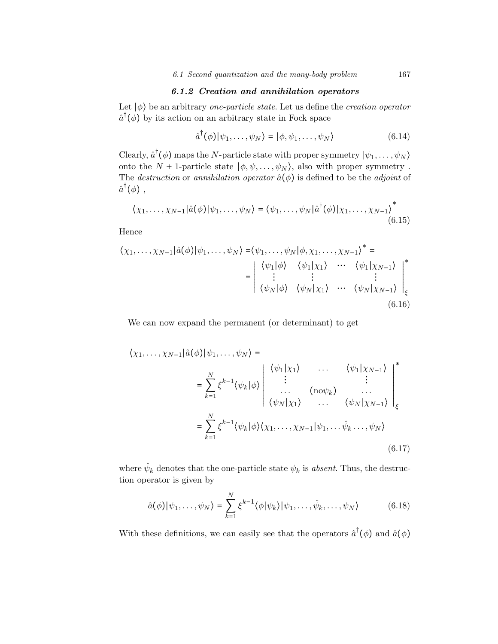## 6.1.2 Creation and annihilation operators

Let  $|\phi\rangle$  be an arbitrary *one-particle state*. Let us define the *creation operator*  $\hat{a}^{\dagger}(\phi)$  by its action on an arbitrary state in Fock space

$$
\hat{a}^{\dagger}(\phi)|\psi_1,\ldots,\psi_N\rangle = |\phi,\psi_1,\ldots,\psi_N\rangle \tag{6.14}
$$

Clearly,  $\hat{a}^{\dagger}(\phi)$  maps the N-particle state with proper symmetry  $|\psi_1,\ldots,\psi_N\rangle$ onto the  $N + 1$ -particle state  $|\phi, \psi, \dots, \psi_N\rangle$ , also with proper symmetry. The *destruction* or annihilation operator  $\hat{a}(\phi)$  is defined to be the *adjoint* of  $\hat{a}^{\dagger}(\phi)$  ,

$$
\langle \chi_1, \ldots, \chi_{N-1} | \hat{a}(\phi) | \psi_1, \ldots, \psi_N \rangle = \langle \psi_1, \ldots, \psi_N | \hat{a}^\dagger(\phi) | \chi_1, \ldots, \chi_{N-1} \rangle^*
$$
(6.15)

Hence

$$
\langle \chi_1, \dots, \chi_{N-1} | \hat{a}(\phi) | \psi_1, \dots, \psi_N \rangle = \langle \psi_1, \dots, \psi_N | \phi, \chi_1, \dots, \chi_{N-1} \rangle^* =
$$
\n
$$
= \begin{vmatrix}\n\langle \psi_1 | \phi \rangle & \langle \psi_1 | \chi_1 \rangle & \cdots & \langle \psi_1 | \chi_{N-1} \rangle \\
\vdots & \vdots & \vdots \\
\langle \psi_N | \phi \rangle & \langle \psi_N | \chi_1 \rangle & \cdots & \langle \psi_N | \chi_{N-1} \rangle\n\end{vmatrix}_{\xi}^*
$$
\n(6.16)

We can now expand the permanent (or determinant) to get

$$
\langle \chi_1, \ldots, \chi_{N-1} | \hat{a}(\phi) | \psi_1, \ldots, \psi_N \rangle =
$$
\n
$$
= \sum_{k=1}^N \xi^{k-1} \langle \psi_k | \phi \rangle \begin{vmatrix} \langle \psi_1 | \chi_1 \rangle & \ldots & \langle \psi_1 | \chi_{N-1} \rangle \\ \vdots & \ldots & \vdots \\ \langle \psi_N | \chi_1 \rangle & \ldots & \langle \psi_N | \chi_{N-1} \rangle \end{vmatrix}_{\xi}
$$
\n
$$
= \sum_{k=1}^N \xi^{k-1} \langle \psi_k | \phi \rangle \langle \chi_1, \ldots, \chi_{N-1} | \psi_1, \ldots \hat{\psi}_k \ldots, \psi_N \rangle
$$
\n(6.17)

where  $\hat{\psi}_k$  denotes that the one-particle state  $\psi_k$  is *absent*. Thus, the destruction operator is given by

$$
\hat{a}(\phi)|\psi_1,\ldots,\psi_N\rangle = \sum_{k=1}^N \xi^{k-1} \langle \phi|\psi_k\rangle |\psi_1,\ldots,\hat{\psi}_k,\ldots,\psi_N\rangle \tag{6.18}
$$

With these definitions, we can easily see that the operators  $\hat{a}^{\dagger}(\phi)$  and  $\hat{a}(\phi)$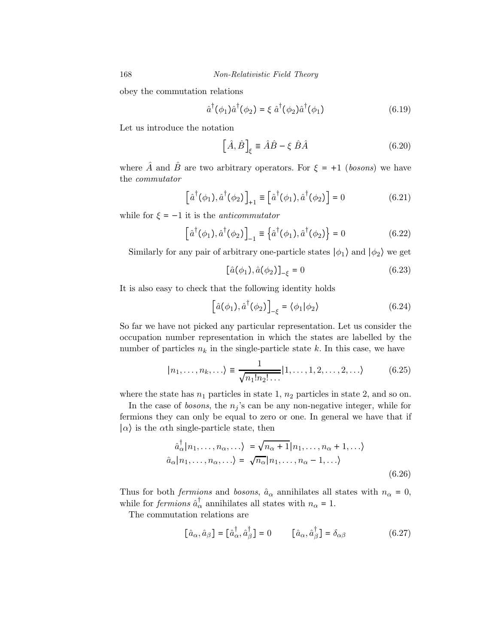obey the commutation relations

$$
\hat{a}^{\dagger}(\phi_1)\hat{a}^{\dagger}(\phi_2) = \xi \hat{a}^{\dagger}(\phi_2)\hat{a}^{\dagger}(\phi_1)
$$
\n(6.19)

Let us introduce the notation

$$
\left[\hat{A}, \hat{B}\right]_{\xi} \equiv \hat{A}\hat{B} - \xi \hat{B}\hat{A}
$$
 (6.20)

where  $\hat{A}$  and  $\hat{B}$  are two arbitrary operators. For  $\xi = +1$  (bosons) we have the commutator

$$
\left[\hat{a}^\dagger(\phi_1),\hat{a}^\dagger(\phi_2)\right]_{+1} \equiv \left[\hat{a}^\dagger(\phi_1),\hat{a}^\dagger(\phi_2)\right] = 0\tag{6.21}
$$

while for  $\xi = -1$  it is the *anticommutator* 

$$
\left[\hat{a}^{\dagger}(\phi_1), \hat{a}^{\dagger}(\phi_2)\right]_{-1} \equiv \left\{\hat{a}^{\dagger}(\phi_1), \hat{a}^{\dagger}(\phi_2)\right\} = 0 \tag{6.22}
$$

Similarly for any pair of arbitrary one-particle states  $|\phi_1\rangle$  and  $|\phi_2\rangle$  we get

$$
[\hat{a}(\phi_1), \hat{a}(\phi_2)]_{-\xi} = 0 \tag{6.23}
$$

It is also easy to check that the following identity holds

$$
\left[\hat{a}(\phi_1),\hat{a}^\dagger(\phi_2)\right]_{-\xi} = \langle \phi_1 | \phi_2 \rangle \tag{6.24}
$$

So far we have not picked any particular representation. Let us consider the occupation number representation in which the states are labelled by the number of particles  $n_k$  in the single-particle state k. In this case, we have

$$
|n_1, \dots, n_k, \dots\rangle \equiv \frac{1}{\sqrt{n_1! n_2! \dots}} |1, \dots, 1, 2, \dots, 2, \dots\rangle \tag{6.25}
$$

where the state has  $n_1$  particles in state 1,  $n_2$  particles in state 2, and so on.

In the case of *bosons*, the  $n_j$ 's can be any non-negative integer, while for fermions they can only be equal to zero or one. In general we have that if  $|\alpha\rangle$  is the  $\alpha$ <sup>th</sup> single-particle state, then

$$
\hat{a}_{\alpha}^{\dagger} |n_1, \dots, n_{\alpha}, \dots \rangle = \sqrt{n_{\alpha} + 1} |n_1, \dots, n_{\alpha} + 1, \dots \rangle
$$
  

$$
\hat{a}_{\alpha} |n_1, \dots, n_{\alpha}, \dots \rangle = \sqrt{n_{\alpha}} |n_1, \dots, n_{\alpha} - 1, \dots \rangle
$$
  
(6.26)

Thus for both *fermions* and *bosons*,  $\hat{a}_{\alpha}$  annihilates all states with  $n_{\alpha} = 0$ , while for *fermions*  $\hat{a}_{\alpha}^{\dagger}$  annihilates all states with  $n_{\alpha} = 1$ .

The commutation relations are

$$
\[\hat{a}_{\alpha}, \hat{a}_{\beta}\] = \[\hat{a}_{\alpha}^{\dagger}, \hat{a}_{\beta}^{\dagger}\] = 0 \qquad \[\hat{a}_{\alpha}, \hat{a}_{\beta}^{\dagger}\] = \delta_{\alpha\beta} \tag{6.27}
$$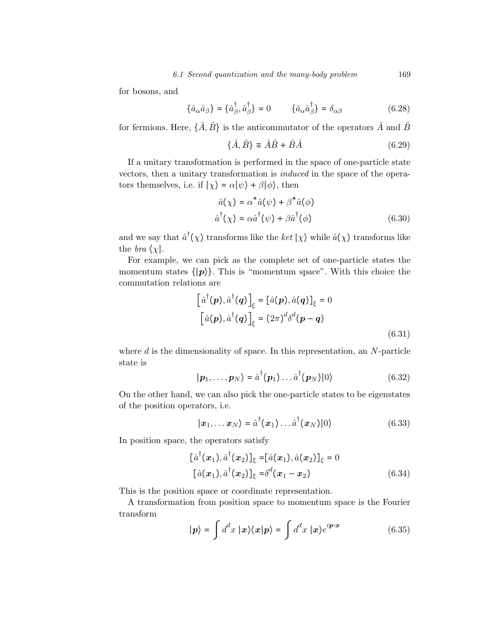for bosons, and

$$
\{\hat{a}_{\alpha}\hat{a}_{\beta}\} = \{\hat{a}_{\beta}^{\dagger}, \hat{a}_{\beta}^{\dagger}\} = 0 \qquad \{\hat{a}_{\alpha}\hat{a}_{\beta}^{\dagger}\} = \delta_{\alpha\beta} \qquad (6.28)
$$

for fermions. Here,  $\{\hat{A}, \hat{B}\}$  is the anticommutator of the operators  $\hat{A}$  and  $\hat{B}$ 

$$
\{\hat{A}, \hat{B}\} \equiv \hat{A}\hat{B} + \hat{B}\hat{A}
$$
\n(6.29)

If a unitary transformation is performed in the space of one-particle state vectors, then a unitary transformation is induced in the space of the operators themselves, i.e. if  $|\chi\rangle = \alpha |\psi\rangle + \beta |\phi\rangle$ , then

$$
\hat{a}(\chi) = \alpha^* \hat{a}(\psi) + \beta^* \hat{a}(\phi)
$$
  

$$
\hat{a}^\dagger(\chi) = \alpha \hat{a}^\dagger(\psi) + \beta \hat{a}^\dagger(\phi)
$$
 (6.30)

and we say that  $\hat{a}^{\dagger}(\chi)$  transforms like the ket  $|\chi\rangle$  while  $\hat{a}(\chi)$  transforms like the *bra*  $\chi$ .

For example, we can pick as the complete set of one-particle states the momentum states  $\{|\boldsymbol{p}\rangle\}$ . This is "momentum space". With this choice the commutation relations are

$$
\left[\hat{a}^{\dagger}(\boldsymbol{p}), \hat{a}^{\dagger}(\boldsymbol{q})\right]_{\xi} = \left[\hat{a}(\boldsymbol{p}), \hat{a}(\boldsymbol{q})\right]_{\xi} = 0
$$

$$
\left[\hat{a}(\boldsymbol{p}), \hat{a}^{\dagger}(\boldsymbol{q})\right]_{\xi} = (2\pi)^{d} \delta^{d}(\boldsymbol{p} - \boldsymbol{q})
$$
(6.31)

where  $d$  is the dimensionality of space. In this representation, an  $N$ -particle state is  $\mathbf{A}^{\text{eff}}$ † 1876 - Princess

$$
|\boldsymbol{p}_1,\ldots,\boldsymbol{p}_N\rangle = \hat{a}^\dagger(\boldsymbol{p}_1)\ldots\hat{a}^\dagger(\boldsymbol{p}_N)|0\rangle
$$
 (6.32)

On the other hand, we can also pick the one-particle states to be eigenstates of the position operators, i.e.

$$
|\boldsymbol{x}_1,\ldots\boldsymbol{x}_N\rangle = \hat{a}^\dagger(\boldsymbol{x}_1)\ldots\hat{a}^\dagger(\boldsymbol{x}_N)|0\rangle
$$
 (6.33)

In position space, the operators satisfy

$$
[\hat{a}^{\dagger}(\mathbf{x}_{1}), \hat{a}^{\dagger}(\mathbf{x}_{2})]_{\xi} = [\hat{a}(\mathbf{x}_{1}), \hat{a}(\mathbf{x}_{2})]_{\xi} = 0
$$
  
 
$$
[\hat{a}(\mathbf{x}_{1}), \hat{a}^{\dagger}(\mathbf{x}_{2})]_{\xi} = \delta^{d}(\mathbf{x}_{1} - \mathbf{x}_{2})
$$
 (6.34)

This is the position space or coordinate representation.

A transformation from position space to momentum space is the Fourier transform

$$
|\mathbf{p}\rangle = \int d^d x \, |\mathbf{x}\rangle\langle\mathbf{x}|\mathbf{p}\rangle = \int d^d x \, |\mathbf{x}\rangle e^{i\mathbf{p}\cdot\mathbf{x}} \tag{6.35}
$$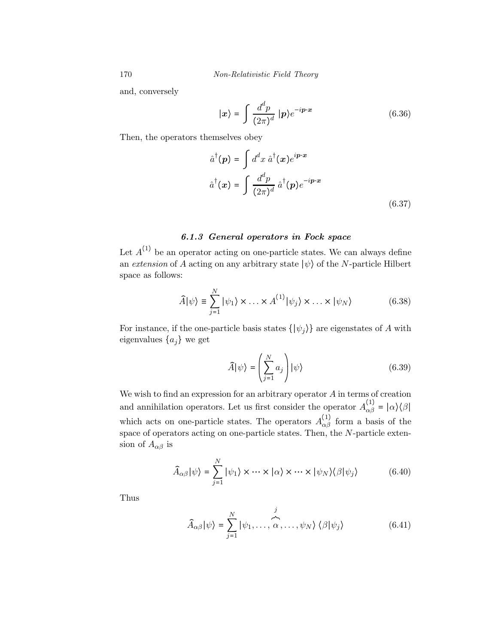and, conversely

$$
|\mathbf{x}\rangle = \int \frac{d^d p}{(2\pi)^d} |\mathbf{p}\rangle e^{-i\mathbf{p}\cdot\mathbf{x}} \tag{6.36}
$$

Then, the operators themselves obey

$$
\hat{a}^{\dagger}(\mathbf{p}) = \int d^d x \, \hat{a}^{\dagger}(\mathbf{x}) e^{i\mathbf{p}\cdot\mathbf{x}}
$$
\n
$$
\hat{a}^{\dagger}(\mathbf{x}) = \int \frac{d^d p}{(2\pi)^d} \, \hat{a}^{\dagger}(\mathbf{p}) e^{-i\mathbf{p}\cdot\mathbf{x}}
$$
\n(6.37)

## 6.1.3 General operators in Fock space

Let  $A^{(1)}$  be an operator acting on one-particle states. We can always define an extension of A acting on any arbitrary state  $|\psi\rangle$  of the N-particle Hilbert space as follows:

$$
\widehat{A}|\psi\rangle \equiv \sum_{j=1}^{N} |\psi_1\rangle \times \ldots \times A^{(1)}|\psi_j\rangle \times \ldots \times |\psi_N\rangle
$$
 (6.38)

For instance, if the one-particle basis states  $\{|\psi_j\rangle\}$  are eigenstates of A with eigenvalues  $\{a_j\}$  we get

$$
\widehat{A}|\psi\rangle = \left(\sum_{j=1}^{N} a_j\right)|\psi\rangle \tag{6.39}
$$

We wish to find an expression for an arbitrary operator  $A$  in terms of creation and annihilation operators. Let us first consider the operator  $A_{\alpha\beta}^{(1)} = |\alpha\rangle\langle\beta|$ which acts on one-particle states. The operators  $A_{\alpha\beta}^{(1)}$  form a basis of the space of operators acting on one-particle states. Then, the  $N$ -particle extension of  $A_{\alpha\beta}$  is

$$
\widehat{A}_{\alpha\beta}|\psi\rangle = \sum_{j=1}^{N} |\psi_1\rangle \times \cdots \times |\alpha\rangle \times \cdots \times |\psi_N\rangle \langle \beta |\psi_j\rangle \tag{6.40}
$$

Thus

$$
\widehat{A}_{\alpha\beta}|\psi\rangle = \sum_{j=1}^{N} |\psi_1, \dots, \widehat{\alpha}, \dots, \psi_N\rangle \langle \beta | \psi_j \rangle
$$
 (6.41)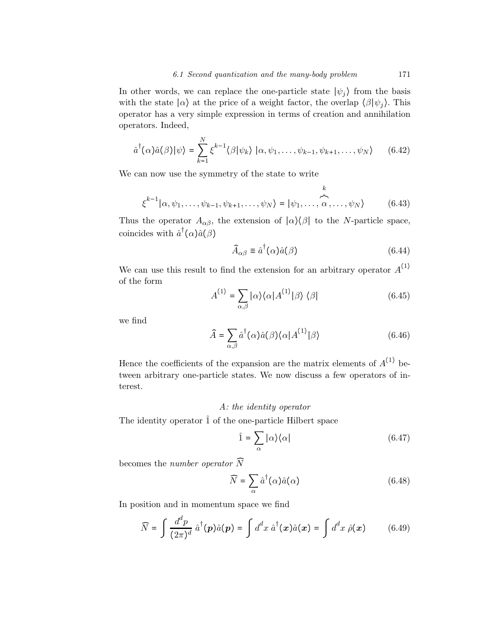In other words, we can replace the one-particle state  $|\psi_j\rangle$  from the basis with the state  $|\alpha\rangle$  at the price of a weight factor, the overlap  $\langle \beta | \psi_i \rangle$ . This operator has a very simple expression in terms of creation and annihilation operators. Indeed,

$$
\hat{a}^{\dagger}(\alpha)\hat{a}(\beta)|\psi\rangle = \sum_{k=1}^{N} \xi^{k-1} \langle \beta | \psi_k \rangle \, |\alpha, \psi_1, \dots, \psi_{k-1}, \psi_{k+1}, \dots, \psi_N \rangle \qquad (6.42)
$$

We can now use the symmetry of the state to write

$$
\xi^{k-1}|\alpha,\psi_1,\ldots,\psi_{k-1},\psi_{k+1},\ldots,\psi_N\rangle = |\psi_1,\ldots,\widehat{\alpha},\ldots,\psi_N\rangle \qquad (6.43)
$$

Thus the operator  $A_{\alpha\beta}$ , the extension of  $|\alpha\rangle\langle\beta|$  to the N-particle space, coincides with  $\hat{a}^{\dagger}(\alpha)\hat{a}(\beta)$ 

$$
\widehat{A}_{\alpha\beta} \equiv \widehat{a}^{\dagger}(\alpha)\widehat{a}(\beta) \tag{6.44}
$$

We can use this result to find the extension for an arbitrary operator  $A^{(1)}$ of the form

$$
A^{(1)} = \sum_{\alpha,\beta} |\alpha\rangle\langle\alpha| A^{(1)}|\beta\rangle\langle\beta|
$$
 (6.45)

we find

$$
\widehat{A} = \sum_{\alpha,\beta} \widehat{a}^{\dagger}(\alpha)\widehat{a}(\beta)\langle \alpha|A^{(1)}|\beta\rangle \tag{6.46}
$$

Hence the coefficients of the expansion are the matrix elements of  $A^{(1)}$  between arbitrary one-particle states. We now discuss a few operators of interest.

## A: the identity operator

The identity operator  $\hat{1}$  of the one-particle Hilbert space

$$
\hat{1} = \sum_{\alpha} |\alpha\rangle\langle\alpha| \tag{6.47}
$$

becomes the number operator  $\widehat{N}$ 

$$
\widehat{N} = \sum_{\alpha} \hat{a}^{\dagger}(\alpha)\hat{a}(\alpha) \tag{6.48}
$$

In position and in momentum space we find

$$
\widehat{N} = \int \frac{d^d p}{(2\pi)^d} \,\hat{a}^\dagger(\boldsymbol{p})\hat{a}(\boldsymbol{p}) = \int d^d x \,\hat{a}^\dagger(\boldsymbol{x})\hat{a}(\boldsymbol{x}) = \int d^d x \,\hat{\rho}(\boldsymbol{x}) \qquad (6.49)
$$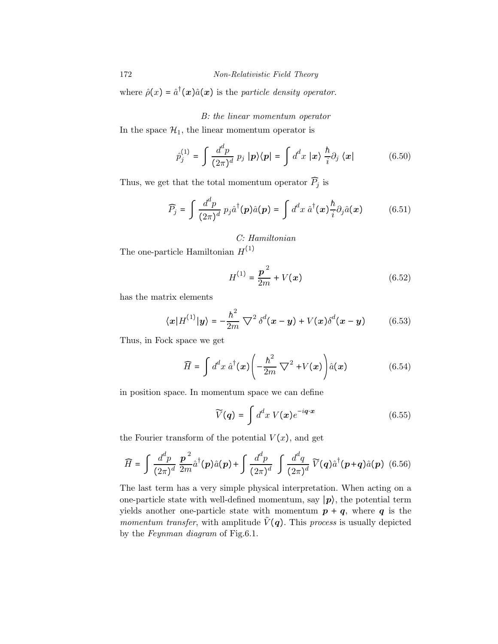172 Non-Relativistic Field Theory

where  $\hat{\rho}(x) = \hat{a}^{\dagger}(x)\hat{a}(x)$  is the particle density operator.

## B: the linear momentum operator

In the space  $\mathcal{H}_1$ , the linear momentum operator is

$$
\hat{p}_j^{(1)} = \int \frac{d^d p}{(2\pi)^d} \, p_j \, |p\rangle\langle p| = \int d^d x \, |x\rangle \, \frac{\hbar}{i} \partial_j \, \langle x| \tag{6.50}
$$

Thus, we get that the total momentum operator  $P_j$  is

$$
\widehat{P}_j = \int \frac{d^d p}{(2\pi)^d} \, p_j \hat{a}^\dagger(\boldsymbol{p}) \hat{a}(\boldsymbol{p}) = \int d^d x \, \hat{a}^\dagger(\boldsymbol{x}) \frac{\hbar}{i} \partial_j \hat{a}(\boldsymbol{x}) \tag{6.51}
$$

C: Hamiltonian

The one-particle Hamiltonian  $\boldsymbol{H}^{(1)}$ 

$$
H^{(1)} = \frac{p^2}{2m} + V(x)
$$
 (6.52)

has the matrix elements

$$
\langle \mathbf{x} | H^{(1)} | \mathbf{y} \rangle = -\frac{\hbar^2}{2m} \nabla^2 \delta^d(\mathbf{x} - \mathbf{y}) + V(\mathbf{x}) \delta^d(\mathbf{x} - \mathbf{y}) \tag{6.53}
$$

Thus, in Fock space we get

$$
\widehat{H} = \int d^d x \, \widehat{a}^\dagger(x) \left( -\frac{\hbar^2}{2m} \, \nabla^2 + V(x) \right) \widehat{a}(x) \tag{6.54}
$$

in position space. In momentum space we can define

$$
\widetilde{V}(\boldsymbol{q}) = \int d^d x \ V(\boldsymbol{x}) e^{-i\boldsymbol{q} \cdot \boldsymbol{x}} \tag{6.55}
$$

the Fourier transform of the potential  $V(x)$ , and get

$$
\widehat{H} = \int \frac{d^d p}{(2\pi)^d} \frac{\mathbf{p}^2}{2m} \hat{a}^\dagger(\mathbf{p}) \hat{a}(\mathbf{p}) + \int \frac{d^d p}{(2\pi)^d} \int \frac{d^d q}{(2\pi)^d} \widetilde{V}(\mathbf{q}) \hat{a}^\dagger(\mathbf{p}+\mathbf{q}) \hat{a}(\mathbf{p}) \tag{6.56}
$$

The last term has a very simple physical interpretation. When acting on a one-particle state with well-defined momentum, say  $|p\rangle$ , the potential term yields another one-particle state with momentum  $p + q$ , where q is the *momentum transfer*, with amplitude  $\tilde{V}(q)$ . This process is usually depicted by the Feynman diagram of Fig.6.1.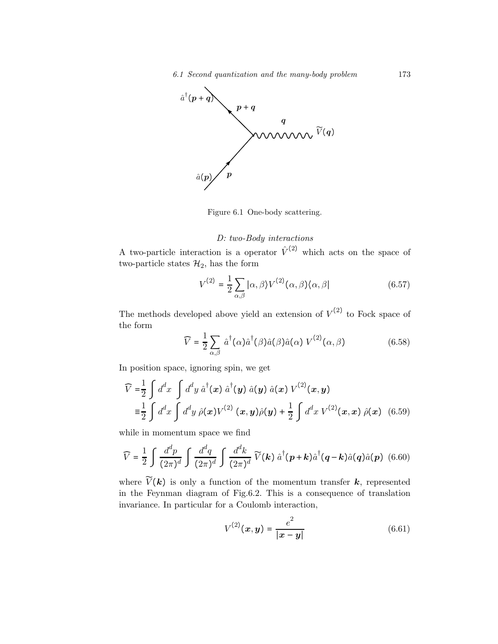

Figure 6.1 One-body scattering.

## D: two-Body interactions

A two-particle interaction is a operator  $\hat{V}^{(2)}$  which acts on the space of two-particle states  $\mathcal{H}_2$ , has the form

$$
V^{(2)} = \frac{1}{2} \sum_{\alpha,\beta} |\alpha,\beta\rangle V^{(2)}(\alpha,\beta) \langle \alpha,\beta|
$$
 (6.57)

The methods developed above yield an extension of  $V^{(2)}$  to Fock space of the form

$$
\widehat{V} = \frac{1}{2} \sum_{\alpha,\beta} \hat{a}^{\dagger}(\alpha) \hat{a}^{\dagger}(\beta) \hat{a}(\beta) \hat{a}(\alpha) V^{(2)}(\alpha, \beta)
$$
(6.58)

In position space, ignoring spin, we get

$$
\widehat{V} = \frac{1}{2} \int d^d x \int d^d y \, \hat{a}^\dagger(x) \, \hat{a}^\dagger(y) \, \hat{a}(y) \, \hat{a}(x) \, V^{(2)}(x, y)
$$
\n
$$
\equiv \frac{1}{2} \int d^d x \int d^d y \, \hat{\rho}(x) V^{(2)}(x, y) \hat{\rho}(y) + \frac{1}{2} \int d^d x \, V^{(2)}(x, x) \, \hat{\rho}(x) \quad (6.59)
$$

while in momentum space we find

$$
\widehat{V} = \frac{1}{2} \int \frac{d^d p}{(2\pi)^d} \int \frac{d^d q}{(2\pi)^d} \int \frac{d^d k}{(2\pi)^d} \widetilde{V}(\mathbf{k}) \hat{a}^\dagger(\mathbf{p} + \mathbf{k}) \hat{a}^\dagger(\mathbf{q} - \mathbf{k}) \hat{a}(\mathbf{q}) \hat{a}(\mathbf{p}) \tag{6.60}
$$

where  $V(\mathbf{k})$  is only a function of the momentum transfer  $\mathbf{k}$ , represented in the Feynman diagram of Fig.6.2. This is a consequence of translation invariance. In particular for a Coulomb interaction,

$$
V^{(2)}(x,y) = \frac{e^2}{|x-y|}
$$
 (6.61)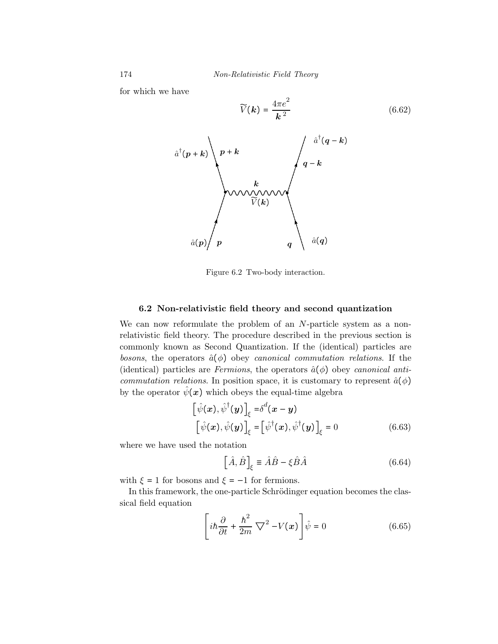for which we have

$$
\widetilde{V}(\mathbf{k}) = \frac{4\pi e^2}{\mathbf{k}^2} \tag{6.62}
$$



Figure 6.2 Two-body interaction.

#### 6.2 Non-relativistic field theory and second quantization

We can now reformulate the problem of an N-particle system as a nonrelativistic field theory. The procedure described in the previous section is commonly known as Second Quantization. If the (identical) particles are bosons, the operators  $\hat{a}(\phi)$  obey canonical commutation relations. If the (identical) particles are Fermions, the operators  $\hat{a}(\phi)$  obey canonical anticommutation relations. In position space, it is customary to represent  $\hat{a}(\phi)$ by the operator  $\hat{\psi}(x)$  which obeys the equal-time algebra

$$
\begin{aligned}\n\left[\hat{\psi}(\boldsymbol{x}), \hat{\psi}^{\dagger}(\boldsymbol{y})\right]_{\xi} &= \delta^{d}(\boldsymbol{x} - \boldsymbol{y}) \\
\left[\hat{\psi}(\boldsymbol{x}), \hat{\psi}(\boldsymbol{y})\right]_{\xi} &= \left[\hat{\psi}^{\dagger}(\boldsymbol{x}), \hat{\psi}^{\dagger}(\boldsymbol{y})\right]_{\xi} = 0\n\end{aligned} \tag{6.63}
$$

where we have used the notation

$$
\left[\hat{A}, \hat{B}\right]_{\xi} \equiv \hat{A}\hat{B} - \xi \hat{B}\hat{A}
$$
\n(6.64)

with  $\xi = 1$  for bosons and  $\xi = -1$  for fermions.

In this framework, the one-particle Schrödinger equation becomes the classical field equation

$$
\left[i\hbar\frac{\partial}{\partial t} + \frac{\hbar^2}{2m}\nabla^2 - V(x)\right]\hat{\psi} = 0
$$
\n(6.65)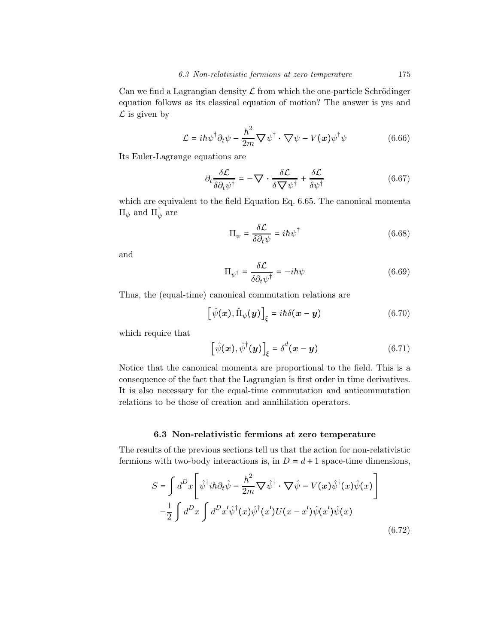Can we find a Lagrangian density  $\mathcal L$  from which the one-particle Schrödinger equation follows as its classical equation of motion? The answer is yes and  $\mathcal L$  is given by

$$
\mathcal{L} = i\hbar \psi^{\dagger} \partial_t \psi - \frac{\hbar^2}{2m} \nabla \psi^{\dagger} \cdot \nabla \psi - V(\boldsymbol{x}) \psi^{\dagger} \psi \qquad (6.66)
$$

Its Euler-Lagrange equations are

$$
\partial_t \frac{\delta \mathcal{L}}{\delta \partial_t \psi^\dagger} = -\nabla \cdot \frac{\delta \mathcal{L}}{\delta \nabla \psi^\dagger} + \frac{\delta \mathcal{L}}{\delta \psi^\dagger} \tag{6.67}
$$

which are equivalent to the field Equation Eq. 6.65. The canonical momenta  $\Pi_{\psi}$  and  $\Pi_{\psi}^{\dagger}$  are

$$
\Pi_{\psi} = \frac{\delta \mathcal{L}}{\delta \partial_t \psi} = i\hbar \psi^{\dagger} \tag{6.68}
$$

and

$$
\Pi_{\psi^{\dagger}} = \frac{\delta \mathcal{L}}{\delta \partial_t \psi^{\dagger}} = -i\hbar \psi \tag{6.69}
$$

Thus, the (equal-time) canonical commutation relations are

$$
\left[\hat{\psi}(\boldsymbol{x}),\hat{\Pi}_{\psi}(\boldsymbol{y})\right]_{\xi} = i\hbar\delta(\boldsymbol{x}-\boldsymbol{y})\tag{6.70}
$$

which require that

$$
\left[\hat{\psi}(\boldsymbol{x}), \hat{\psi}^{\dagger}(\boldsymbol{y})\right]_{\xi} = \delta^{d}(\boldsymbol{x} - \boldsymbol{y})\tag{6.71}
$$

Notice that the canonical momenta are proportional to the field. This is a consequence of the fact that the Lagrangian is first order in time derivatives. It is also necessary for the equal-time commutation and anticommutation relations to be those of creation and annihilation operators.

#### 6.3 Non-relativistic fermions at zero temperature

The results of the previous sections tell us that the action for non-relativistic fermions with two-body interactions is, in  $D = d + 1$  space-time dimensions,

$$
S = \int d^D x \left[ \hat{\psi}^\dagger i \hbar \partial_t \hat{\psi} - \frac{\hbar^2}{2m} \nabla \hat{\psi}^\dagger \cdot \nabla \hat{\psi} - V(x) \hat{\psi}^\dagger (x) \hat{\psi} (x) \right]
$$

$$
- \frac{1}{2} \int d^D x \int d^D x' \hat{\psi}^\dagger (x) \hat{\psi}^\dagger (x') U(x - x') \hat{\psi} (x') \hat{\psi} (x)
$$
(6.72)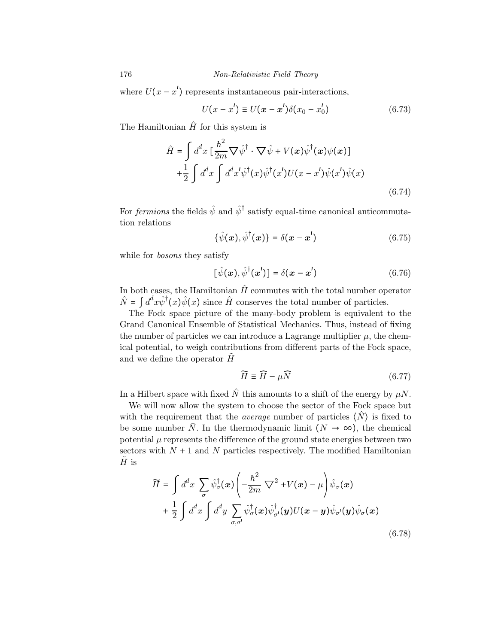176 Non-Relativistic Field Theory

where  $U(x - x')$  represents instantaneous pair-interactions,

$$
U(x - x') \equiv U(x - x')\delta(x_0 - x'_0)
$$
 (6.73)

The Hamiltonian  $\hat{H}$  for this system is

$$
\hat{H} = \int d^d x \left[ \frac{\hbar^2}{2m} \nabla \hat{\psi}^\dagger \cdot \nabla \hat{\psi} + V(x) \hat{\psi}^\dagger(x) \psi(x) \right] \n+ \frac{1}{2} \int d^d x \int d^d x' \hat{\psi}^\dagger(x) \hat{\psi}^\dagger(x') U(x - x') \hat{\psi}(x') \hat{\psi}(x)
$$
\n(6.74)

For *fermions* the fields  $\hat{\psi}$  and  $\hat{\psi}^{\dagger}$  satisfy equal-time canonical anticommutation relations

$$
\{\hat{\psi}(\boldsymbol{x}),\hat{\psi}^{\dagger}(\boldsymbol{x})\}=\delta(\boldsymbol{x}-\boldsymbol{x}')\tag{6.75}
$$

while for *bosons* they satisfy

$$
[\hat{\psi}(\boldsymbol{x}), \hat{\psi}^{\dagger}(\boldsymbol{x}')] = \delta(\boldsymbol{x} - \boldsymbol{x}') \tag{6.76}
$$

In both cases, the Hamiltonian  $\hat{H}$  commutes with the total number operator  $\hat{N} = \int d^d x \hat{\psi}^{\dagger}(x) \hat{\psi}(x)$  since  $\hat{H}$  conserves the total number of particles.

The Fock space picture of the many-body problem is equivalent to the Grand Canonical Ensemble of Statistical Mechanics. Thus, instead of fixing the number of particles we can introduce a Lagrange multiplier  $\mu$ , the chemical potential, to weigh contributions from different parts of the Fock space, and we define the operator  $H$ 

$$
\widetilde{H} \equiv \widehat{H} - \mu \widehat{N} \tag{6.77}
$$

In a Hilbert space with fixed  $\hat{N}$  this amounts to a shift of the energy by  $\mu N$ .

We will now allow the system to choose the sector of the Fock space but with the requirement that the *average* number of particles  $\langle N \rangle$  is fixed to be some number N. In the thermodynamic limit  $(N \to \infty)$ , the chemical potential  $\mu$  represents the difference of the ground state energies between two sectors with  $N + 1$  and N particles respectively. The modified Hamiltonian  $H$  is

$$
\widetilde{H} = \int d^d x \sum_{\sigma} \hat{\psi}_{\sigma}^{\dagger}(\boldsymbol{x}) \left( -\frac{\hbar^2}{2m} \nabla^2 + V(\boldsymbol{x}) - \mu \right) \hat{\psi}_{\sigma}(\boldsymbol{x}) \n+ \frac{1}{2} \int d^d x \int d^d y \sum_{\sigma, \sigma'} \hat{\psi}_{\sigma}^{\dagger}(\boldsymbol{x}) \hat{\psi}_{\sigma'}^{\dagger}(\boldsymbol{y}) U(\boldsymbol{x} - \boldsymbol{y}) \hat{\psi}_{\sigma'}(\boldsymbol{y}) \hat{\psi}_{\sigma}(\boldsymbol{x})
$$
\n(6.78)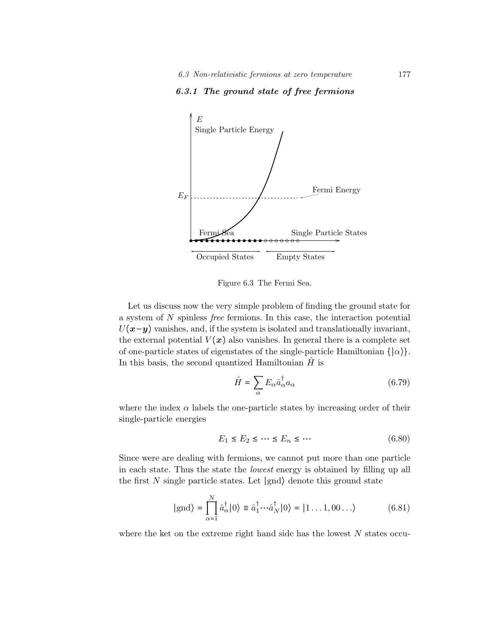#### 6.3.1 The ground state of free fermions



Figure 6.3 The Fermi Sea.

Let us discuss now the very simple problem of finding the ground state for a system of N spinless free fermions. In this case, the interaction potential  $U(x-y)$  vanishes, and, if the system is isolated and translationally invariant, the external potential  $V(x)$  also vanishes. In general there is a complete set of one-particle states of eigenstates of the single-particle Hamiltonian  $\{|\alpha\rangle\}$ . In this basis, the second quantized Hamiltonian  $\hat{H}$  is

$$
\hat{H} = \sum_{\alpha} E_{\alpha} \hat{a}_{\alpha}^{\dagger} a_{\alpha} \tag{6.79}
$$

where the index  $\alpha$  labels the one-particle states by increasing order of their single-particle energies

$$
E_1 \le E_2 \le \dots \le E_n \le \dots \tag{6.80}
$$

Since were are dealing with fermions, we cannot put more than one particle in each state. Thus the state the lowest energy is obtained by filling up all the first N single particle states. Let  $|{\rm{gnd}}\rangle$  denote this ground state

$$
|\text{gnd}\rangle = \prod_{\alpha=1}^{N} \hat{a}_{\alpha}^{\dagger} |0\rangle \equiv \hat{a}_{1}^{\dagger} \cdots \hat{a}_{N}^{\dagger} |0\rangle = |1 \dots 1, 00 \dots\rangle \tag{6.81}
$$

where the ket on the extreme right hand side has the lowest  $N$  states occu-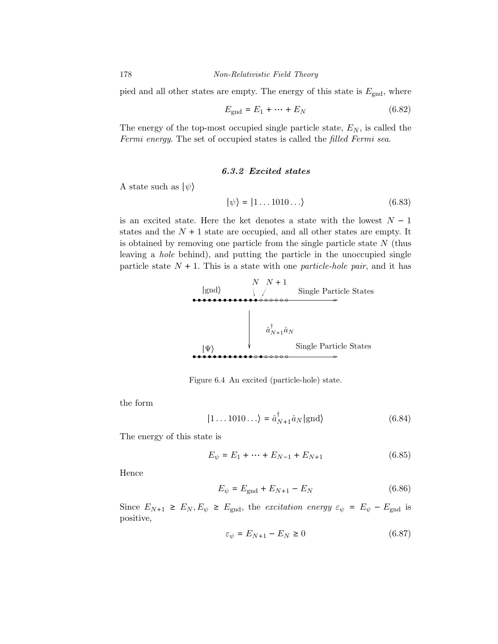pied and all other states are empty. The energy of this state is  $E_{\text{gnd}}$ , where

$$
E_{\text{gnd}} = E_1 + \dots + E_N \tag{6.82}
$$

The energy of the top-most occupied single particle state,  $E_N$ , is called the Fermi energy. The set of occupied states is called the filled Fermi sea.

#### 6.3.2 Excited states

A state such as  $|\psi\rangle$ 

$$
|\psi\rangle = |1 \dots 1010 \dots\rangle \tag{6.83}
$$

is an excited state. Here the ket denotes a state with the lowest  $N-1$ states and the  $N + 1$  state are occupied, and all other states are empty. It is obtained by removing one particle from the single particle state  $N$  (thus leaving a hole behind), and putting the particle in the unoccupied single particle state  $N + 1$ . This is a state with one *particle-hole pair*, and it has



Figure 6.4 An excited (particle-hole) state.

the form

$$
|1 \dots 1010 \dots \rangle = \hat{a}_{N+1}^{\dagger} \hat{a}_N | \text{gnd} \rangle \tag{6.84}
$$

The energy of this state is

$$
E_{\psi} = E_1 + \dots + E_{N-1} + E_{N+1}
$$
 (6.85)

Hence

$$
E_{\psi} = E_{\text{gnd}} + E_{N+1} - E_N \tag{6.86}
$$

Since  $E_{N+1} \ge E_N, E_{\psi} \ge E_{\text{gnd}}$ , the excitation energy  $\varepsilon_{\psi} = E_{\psi} - E_{\text{gnd}}$  is positive,

$$
\varepsilon_{\psi} = E_{N+1} - E_N \ge 0 \tag{6.87}
$$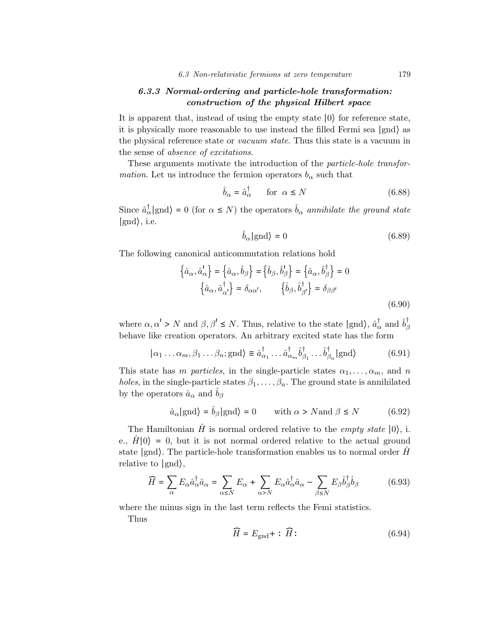# 6.3.3 Normal-ordering and particle-hole transformation: construction of the physical Hilbert space

It is apparent that, instead of using the empty state ∣0⟩ for reference state, it is physically more reasonable to use instead the filled Fermi sea ∣gnd⟩ as the physical reference state or *vacuum state*. Thus this state is a vacuum in the sense of *absence* of excitations.

These arguments motivate the introduction of the particle-hole transfor*mation*. Let us introduce the fermion operators  $b_{\alpha}$  such that

$$
\hat{b}_{\alpha} = \hat{a}_{\alpha}^{\dagger} \qquad \text{for} \ \ \alpha \le N \tag{6.88}
$$

Since  $\hat{a}_{\alpha}^{\dagger}$  |gnd $\rangle = 0$  (for  $\alpha \leq N$ ) the operators  $\hat{b}_{\alpha}$  annihilate the ground state ∣gnd⟩, i.e.

$$
\hat{b}_{\alpha}|\text{gnd}\rangle = 0\tag{6.89}
$$

The following canonical anticommutation relations hold

$$
\left\{\hat{a}_{\alpha}, \hat{a}'_{\alpha}\right\} = \left\{\hat{a}_{\alpha}, \hat{b}_{\beta}\right\} = \left\{\hat{b}_{\beta}, \hat{b}'_{\beta}\right\} = \left\{\hat{a}_{\alpha}, \hat{b}^{\dagger}_{\beta}\right\} = 0
$$

$$
\left\{\hat{a}_{\alpha}, \hat{a}^{\dagger}_{\alpha'}\right\} = \delta_{\alpha\alpha'}, \qquad \left\{\hat{b}_{\beta}, \hat{b}^{\dagger}_{\beta'}\right\} = \delta_{\beta\beta'}
$$
(6.90)

where  $\alpha, \alpha' > N$  and  $\beta, \beta' \leq N$ . Thus, relative to the state  $| \text{gnd} \rangle$ ,  $\hat{a}^{\dagger}_{\alpha}$  and  $\hat{b}^{\dagger}_{\beta}$ β behave like creation operators. An arbitrary excited state has the form

$$
|\alpha_1 \dots \alpha_m, \beta_1 \dots \beta_n; \text{gnd}\rangle \equiv \hat{a}_{\alpha_1}^{\dagger} \dots \hat{a}_{\alpha_m}^{\dagger} \hat{b}_{\beta_1}^{\dagger} \dots \hat{b}_{\beta_n}^{\dagger} | \text{gnd}\rangle \tag{6.91}
$$

This state has m particles, in the single-particle states  $\alpha_1, \ldots, \alpha_m$ , and n holes, in the single-particle states  $\beta_1, \ldots, \beta_n$ . The ground state is annihilated by the operators  $\hat{a}_{\alpha}$  and  $b_{\beta}$ 

$$
\hat{a}_{\alpha}|\text{gnd}\rangle = \hat{b}_{\beta}|\text{gnd}\rangle = 0 \quad \text{with } \alpha > N \text{and } \beta \le N \tag{6.92}
$$

The Hamiltonian  $\hat{H}$  is normal ordered relative to the *empty state*  $|0\rangle$ , i. e.,  $\hat{H}|0\rangle = 0$ , but it is not normal ordered relative to the actual ground state  $|{\rm gnd}\rangle$ . The particle-hole transformation enables us to normal order  $\hat{H}$ relative to ∣gnd⟩,

$$
\widehat{H} = \sum_{\alpha} E_{\alpha} \hat{a}_{\alpha}^{\dagger} \hat{a}_{\alpha} = \sum_{\alpha \le N} E_{\alpha} + \sum_{\alpha > N} E_{\alpha} \hat{a}_{\alpha}^{\dagger} \hat{a}_{\alpha} - \sum_{\beta \le N} E_{\beta} \hat{b}_{\beta}^{\dagger} \hat{b}_{\beta} \tag{6.93}
$$

where the minus sign in the last term reflects the Femi statistics.

Thus

$$
\widehat{H} = E_{\text{gnd}} + : \widehat{H} : \tag{6.94}
$$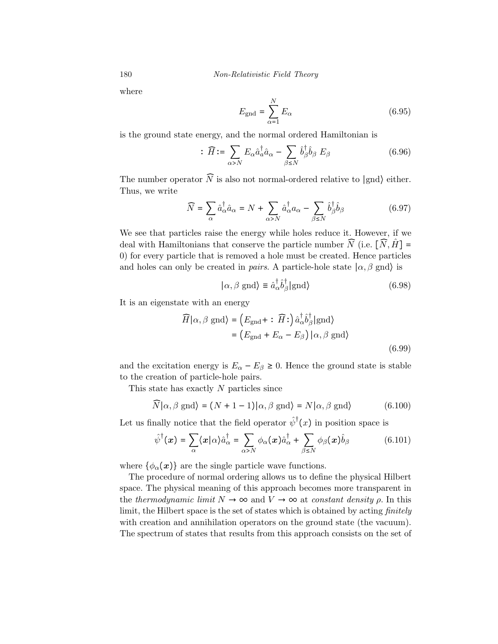180 *Non-Relativistic Field Theory* 

where

$$
E_{\text{gnd}} = \sum_{\alpha=1}^{N} E_{\alpha} \tag{6.95}
$$

is the ground state energy, and the normal ordered Hamiltonian is

$$
\therefore \widehat{H} := \sum_{\alpha > N} E_{\alpha} \hat{a}_{\alpha}^{\dagger} \hat{a}_{\alpha} - \sum_{\beta \leq N} \hat{b}_{\beta}^{\dagger} \hat{b}_{\beta} \ E_{\beta} \tag{6.96}
$$

The number operator  $\widehat{N}$  is also not normal-ordered relative to  $|$ gnd $\rangle$  either. Thus, we write

$$
\widehat{N} = \sum_{\alpha} \hat{a}_{\alpha}^{\dagger} \hat{a}_{\alpha} = N + \sum_{\alpha > N} \hat{a}_{\alpha}^{\dagger} a_{\alpha} - \sum_{\beta \le N} \hat{b}_{\beta}^{\dagger} \hat{b}_{\beta} \tag{6.97}
$$

We see that particles raise the energy while holes reduce it. However, if we deal with Hamiltonians that conserve the particle number  $\widehat{N}$  (i.e.  $[\widehat{N}, \widehat{H}] =$ 0) for every particle that is removed a hole must be created. Hence particles and holes can only be created in *pairs*. A particle-hole state  $\ket{\alpha, \beta \text{ and}}$  is

$$
|\alpha, \beta \text{ gnd}\rangle \equiv \hat{a}_{\alpha}^{\dagger} \hat{b}_{\beta}^{\dagger} | \text{ gnd}\rangle \tag{6.98}
$$

It is an eigenstate with an energy

$$
\widehat{H}|\alpha,\beta \text{ gnd}\rangle = (E_{\text{gnd}} + : \widehat{H}:)\hat{a}_{\alpha}^{\dagger}\hat{b}_{\beta}^{\dagger}|\text{gnd}\rangle
$$

$$
= (E_{\text{gnd}} + E_{\alpha} - E_{\beta})|\alpha,\beta \text{ gnd}\rangle
$$
(6.99)

and the excitation energy is  $E_{\alpha} - E_{\beta} \ge 0$ . Hence the ground state is stable to the creation of particle-hole pairs.

This state has exactly  $N$  particles since

$$
\widehat{N}|\alpha,\beta \text{ and }\rangle = (N+1-1)|\alpha,\beta \text{ and }\rangle = N|\alpha,\beta \text{ and }\rangle \qquad (6.100)
$$

Let us finally notice that the field operator  $\hat{\psi}^{\dagger}(x)$  in position space is

$$
\hat{\psi}^{\dagger}(\boldsymbol{x}) = \sum_{\alpha} \langle \boldsymbol{x} | \alpha \rangle \hat{a}_{\alpha}^{\dagger} = \sum_{\alpha > N} \phi_{\alpha}(\boldsymbol{x}) \hat{a}_{\alpha}^{\dagger} + \sum_{\beta \leq N} \phi_{\beta}(\boldsymbol{x}) \hat{b}_{\beta} \tag{6.101}
$$

where  $\{\phi_{\alpha}(\boldsymbol{x})\}$  are the single particle wave functions.

The procedure of normal ordering allows us to define the physical Hilbert space. The physical meaning of this approach becomes more transparent in the thermodynamic limit  $N \to \infty$  and  $V \to \infty$  at constant density  $\rho$ . In this limit, the Hilbert space is the set of states which is obtained by acting *finitely* with creation and annihilation operators on the ground state (the vacuum). The spectrum of states that results from this approach consists on the set of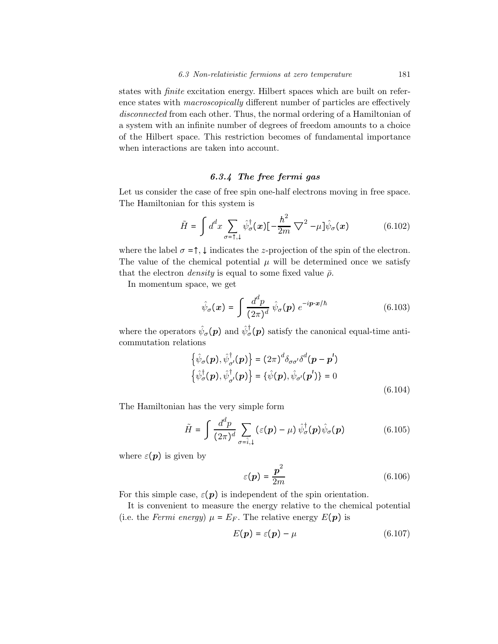states with finite excitation energy. Hilbert spaces which are built on reference states with macroscopically different number of particles are effectively disconnected from each other. Thus, the normal ordering of a Hamiltonian of a system with an infinite number of degrees of freedom amounts to a choice of the Hilbert space. This restriction becomes of fundamental importance when interactions are taken into account.

## 6.3.4 The free fermi gas

Let us consider the case of free spin one-half electrons moving in free space. The Hamiltonian for this system is

$$
\tilde{H} = \int d^d x \sum_{\sigma = \uparrow, \downarrow} \hat{\psi}_{\sigma}^{\dagger}(\boldsymbol{x}) \left[ -\frac{\hbar^2}{2m} \nabla^2 - \mu \right] \hat{\psi}_{\sigma}(\boldsymbol{x}) \tag{6.102}
$$

where the label  $\sigma = \uparrow, \downarrow$  indicates the z-projection of the spin of the electron. The value of the chemical potential  $\mu$  will be determined once we satisfy that the electron *density* is equal to some fixed value  $\bar{\rho}$ .

In momentum space, we get

$$
\hat{\psi}_{\sigma}(\boldsymbol{x}) = \int \frac{d^d p}{(2\pi)^d} \hat{\psi}_{\sigma}(p) e^{-i \boldsymbol{p} \cdot \boldsymbol{x}/\hbar}
$$
\n(6.103)

where the operators  $\hat{\psi}_{\sigma}(\boldsymbol{p})$  and  $\hat{\psi}_{\sigma}^{\dagger}(\boldsymbol{p})$  satisfy the canonical equal-time anticommutation relations

$$
\{\hat{\psi}_{\sigma}(\boldsymbol{p}), \hat{\psi}_{\sigma}^{\dagger}(\boldsymbol{p})\} = (2\pi)^{d} \delta_{\sigma\sigma'} \delta^{d}(\boldsymbol{p} - \boldsymbol{p}')
$$
  

$$
\{\hat{\psi}_{\sigma}^{\dagger}(\boldsymbol{p}), \hat{\psi}_{\sigma'}^{\dagger}(\boldsymbol{p})\} = \{\hat{\psi}(\boldsymbol{p}), \hat{\psi}_{\sigma'}(\boldsymbol{p}')\} = 0
$$
  
(6.104)

The Hamiltonian has the very simple form

$$
\tilde{H} = \int \frac{d^d p}{(2\pi)^d} \sum_{\sigma = \hat{i}, \downarrow} (\varepsilon(\mathbf{p}) - \mu) \hat{\psi}_{\sigma}^{\dagger}(\mathbf{p}) \hat{\psi}_{\sigma}(\mathbf{p}) \tag{6.105}
$$

where  $\varepsilon(\boldsymbol{p})$  is given by

$$
\varepsilon(\mathbf{p}) = \frac{\mathbf{p}^2}{2m} \tag{6.106}
$$

For this simple case,  $\varepsilon(p)$  is independent of the spin orientation.

It is convenient to measure the energy relative to the chemical potential (i.e. the Fermi energy)  $\mu = E_F$ . The relative energy  $E(\mathbf{p})$  is

$$
E(\mathbf{p}) = \varepsilon(\mathbf{p}) - \mu \tag{6.107}
$$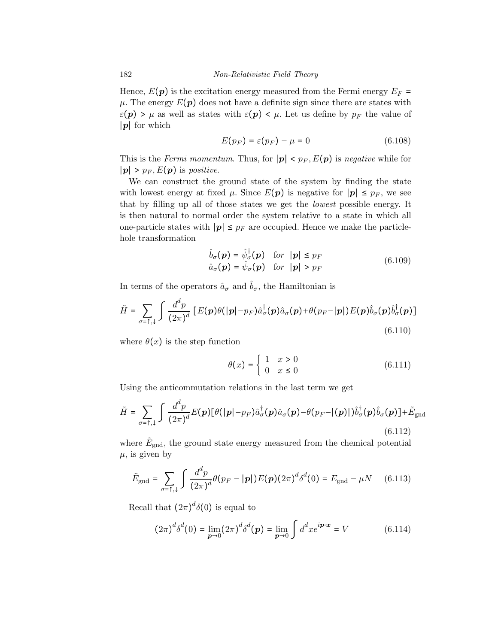Hence,  $E(p)$  is the excitation energy measured from the Fermi energy  $E_F$  =  $\mu$ . The energy  $E(p)$  does not have a definite sign since there are states with  $\varepsilon(\boldsymbol{p}) > \mu$  as well as states with  $\varepsilon(\boldsymbol{p}) < \mu$ . Let us define by  $p_F$  the value of ∣p∣ for which

$$
E(p_F) = \varepsilon(p_F) - \mu = 0 \tag{6.108}
$$

This is the Fermi momentum. Thus, for  $|p| < p_F$ ,  $E(p)$  is negative while for  $|p| > p_F, E(p)$  is *positive*.

We can construct the ground state of the system by finding the state with lowest energy at fixed  $\mu$ . Since  $E(p)$  is negative for  $|p| \leq p_F$ , we see that by filling up all of those states we get the lowest possible energy. It is then natural to normal order the system relative to a state in which all one-particle states with  $|p| \leq p_F$  are occupied. Hence we make the particlehole transformation

$$
\hat{b}_{\sigma}(\mathbf{p}) = \hat{\psi}_{\sigma}^{\dagger}(\mathbf{p}) \quad \text{for} \quad |\mathbf{p}| \le p_F \n\hat{a}_{\sigma}(\mathbf{p}) = \hat{\psi}_{\sigma}(\mathbf{p}) \quad \text{for} \quad |\mathbf{p}| > p_F
$$
\n(6.109)

In terms of the operators  $\hat{a}_{\sigma}$  and  $\hat{b}_{\sigma}$ , the Hamiltonian is

$$
\tilde{H} = \sum_{\sigma=\uparrow,\downarrow} \int \frac{d^d p}{(2\pi)^d} \left[ E(\boldsymbol{p})\theta(|\boldsymbol{p}| - p_F) \hat{a}^\dagger_{\sigma}(\boldsymbol{p}) \hat{a}_{\sigma}(\boldsymbol{p}) + \theta(p_F - |\boldsymbol{p}|) E(\boldsymbol{p}) \hat{b}_{\sigma}(\boldsymbol{p}) \hat{b}^\dagger_{\sigma}(\boldsymbol{p}) \right]
$$
\n(6.110)

where  $\theta(x)$  is the step function

$$
\theta(x) = \begin{cases} 1 & x > 0 \\ 0 & x \le 0 \end{cases} \tag{6.111}
$$

Using the anticommutation relations in the last term we get

$$
\tilde{H} = \sum_{\sigma = \uparrow, \downarrow} \int \frac{d^d p}{(2\pi)^d} E(\boldsymbol{p}) [\theta(|\boldsymbol{p}| - p_F) \hat{a}_{\sigma}^{\dagger}(\boldsymbol{p}) \hat{a}_{\sigma}(\boldsymbol{p}) - \theta(p_F - |(\boldsymbol{p})|) \hat{b}_{\sigma}^{\dagger}(\boldsymbol{p}) \hat{b}_{\sigma}(\boldsymbol{p})] + \tilde{E}_{\text{gnd}}
$$
\n(6.112)

where  $\tilde{E}_{\text{gnd}}$ , the ground state energy measured from the chemical potential  $\mu$ , is given by

$$
\tilde{E}_{\text{gnd}} = \sum_{\sigma = \uparrow, \downarrow} \int \frac{d^d p}{(2\pi)^d} \theta(p_F - |\mathbf{p}|) E(\mathbf{p}) (2\pi)^d \delta^d(0) = E_{\text{gnd}} - \mu N \quad (6.113)
$$

Recall that  $(2\pi)^d \delta(0)$  is equal to

$$
(2\pi)^{d} \delta^{d}(0) = \lim_{p \to 0} (2\pi)^{d} \delta^{d}(p) = \lim_{p \to 0} \int d^{d}x e^{ip \cdot x} = V
$$
 (6.114)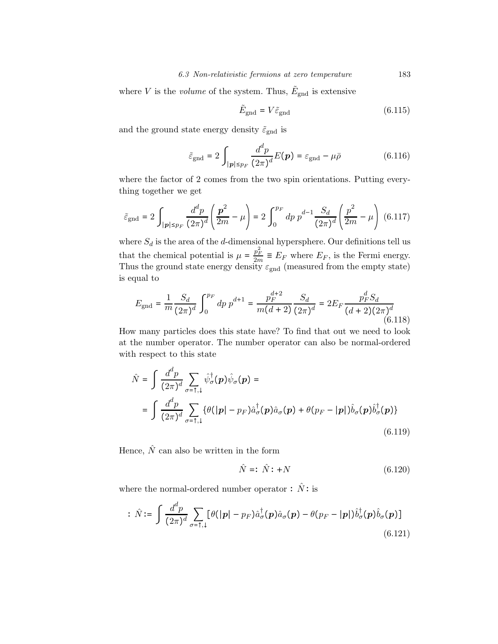where V is the *volume* of the system. Thus,  $\tilde{E}_{\text{gnd}}$  is extensive

$$
\tilde{E}_{\text{gnd}} = V \tilde{\varepsilon}_{\text{gnd}} \tag{6.115}
$$

and the ground state energy density  $\tilde{\varepsilon}_{\text{gnd}}$  is

$$
\tilde{\varepsilon}_{\text{gnd}} = 2 \int_{|\mathbf{p}| \le p_F} \frac{d^d p}{(2\pi)^d} E(\mathbf{p}) = \varepsilon_{\text{gnd}} - \mu \bar{\rho}
$$
\n(6.116)

where the factor of 2 comes from the two spin orientations. Putting everything together we get

$$
\tilde{\varepsilon}_{\rm gnd} = 2 \int_{|\mathbf{p}| \le p_F} \frac{d^d p}{(2\pi)^d} \left( \frac{\mathbf{p}^2}{2m} - \mu \right) = 2 \int_0^{p_F} dp \ p^{d-1} \frac{S_d}{(2\pi)^d} \left( \frac{p^2}{2m} - \mu \right) \tag{6.117}
$$

where  $S_d$  is the area of the d-dimensional hypersphere. Our definitions tell us that the chemical potential is  $\mu = \frac{p_F^2}{2m} \equiv E_F$  where  $E_F$ , is the Fermi energy. Thus the ground state energy density  $\varepsilon_{\text{gnd}}$  (measured from the empty state) is equal to

$$
E_{\rm gnd} = \frac{1}{m} \frac{S_d}{(2\pi)^d} \int_0^{p_F} dp \, p^{d+1} = \frac{p_F^{d+2}}{m(d+2)} \frac{S_d}{(2\pi)^d} = 2E_F \frac{p_F^d S_d}{(d+2)(2\pi)^d}
$$
(6.118)

How many particles does this state have? To find that out we need to look at the number operator. The number operator can also be normal-ordered with respect to this state

$$
\hat{N} = \int \frac{d^d p}{(2\pi)^d} \sum_{\sigma=\uparrow,\downarrow} \hat{\psi}_{\sigma}^{\dagger}(\mathbf{p}) \hat{\psi}_{\sigma}(\mathbf{p}) =
$$
\n
$$
= \int \frac{d^d p}{(2\pi)^d} \sum_{\sigma=\uparrow,\downarrow} \{ \theta(|\mathbf{p}| - p_F) \hat{a}_{\sigma}^{\dagger}(\mathbf{p}) \hat{a}_{\sigma}(\mathbf{p}) + \theta(p_F - |\mathbf{p}|) \hat{b}_{\sigma}(\mathbf{p}) \hat{b}_{\sigma}^{\dagger}(\mathbf{p}) \}
$$
\n(6.119)

Hence,  $\hat{N}$  can also be written in the form

$$
\hat{N} =: \hat{N} : +N \tag{6.120}
$$

where the normal-ordered number operator :  $\hat{N}$  : is

$$
\therefore \ \hat{N} := \int \frac{d^d p}{(2\pi)^d} \sum_{\sigma = \uparrow, \downarrow} \left[ \theta(|\mathbf{p}| - p_F) \hat{a}_{\sigma}^{\dagger}(\mathbf{p}) \hat{a}_{\sigma}(\mathbf{p}) - \theta(p_F - |\mathbf{p}|) \hat{b}_{\sigma}^{\dagger}(\mathbf{p}) \hat{b}_{\sigma}(\mathbf{p}) \right]
$$
\n(6.121)